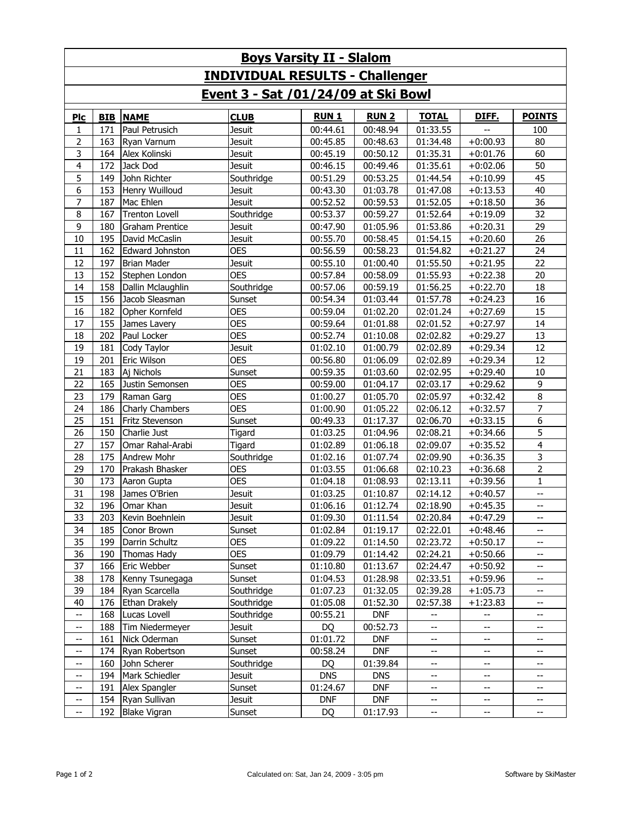| <b>Boys Varsity II - Slalom</b>                                                      |     |                       |               |            |            |                          |            |                          |  |  |  |  |
|--------------------------------------------------------------------------------------|-----|-----------------------|---------------|------------|------------|--------------------------|------------|--------------------------|--|--|--|--|
| <b>INDIVIDUAL RESULTS - Challenger</b><br><u>Event 3 - Sat /01/24/09 at Ski Bowl</u> |     |                       |               |            |            |                          |            |                          |  |  |  |  |
|                                                                                      |     |                       |               |            |            |                          |            |                          |  |  |  |  |
| 1                                                                                    | 171 | Paul Petrusich        | <b>Jesuit</b> | 00:44.61   | 00:48.94   | 01:33.55                 |            | 100                      |  |  |  |  |
| 2                                                                                    | 163 | Ryan Varnum           | <b>Jesuit</b> | 00:45.85   | 00:48.63   | 01:34.48                 | $+0:00.93$ | 80                       |  |  |  |  |
| 3                                                                                    | 164 | Alex Kolinski         | Jesuit        | 00:45.19   | 00:50.12   | 01:35.31                 | $+0:01.76$ | 60                       |  |  |  |  |
| $\overline{4}$                                                                       | 172 | Jack Dod              | <b>Jesuit</b> | 00:46.15   | 00:49.46   | 01:35.61                 | $+0:02.06$ | 50                       |  |  |  |  |
| 5                                                                                    | 149 | John Richter          | Southridge    | 00:51.29   | 00:53.25   | 01:44.54                 | $+0:10.99$ | 45                       |  |  |  |  |
| 6                                                                                    | 153 | Henry Wuilloud        | <b>Jesuit</b> | 00:43.30   | 01:03.78   | 01:47.08                 | $+0:13.53$ | 40                       |  |  |  |  |
| $\overline{7}$                                                                       | 187 | Mac Ehlen             | <b>Jesuit</b> | 00:52.52   | 00:59.53   | 01:52.05                 | $+0:18.50$ | 36                       |  |  |  |  |
| 8                                                                                    | 167 | <b>Trenton Lovell</b> | Southridge    | 00:53.37   | 00:59.27   | 01:52.64                 | $+0:19.09$ | 32                       |  |  |  |  |
| 9                                                                                    | 180 | Graham Prentice       | Jesuit        | 00:47.90   | 01:05.96   | 01:53.86                 | $+0:20.31$ | 29                       |  |  |  |  |
| 10                                                                                   | 195 | David McCaslin        | <b>Jesuit</b> | 00:55.70   | 00:58.45   | 01:54.15                 | $+0:20.60$ | 26                       |  |  |  |  |
| 11                                                                                   | 162 | Edward Johnston       | <b>OES</b>    | 00:56.59   | 00:58.23   | 01:54.82                 | $+0:21.27$ | 24                       |  |  |  |  |
| 12                                                                                   | 197 | <b>Brian Mader</b>    | Jesuit        | 00:55.10   | 01:00.40   | 01:55.50                 | $+0:21.95$ | 22                       |  |  |  |  |
| 13                                                                                   | 152 | Stephen London        | <b>OES</b>    | 00:57.84   | 00:58.09   | 01:55.93                 | $+0:22.38$ | 20                       |  |  |  |  |
| 14                                                                                   | 158 | Dallin Mclaughlin     | Southridge    | 00:57.06   | 00:59.19   | 01:56.25                 | $+0:22.70$ | 18                       |  |  |  |  |
| 15                                                                                   | 156 | Jacob Sleasman        | Sunset        | 00:54.34   | 01:03.44   | 01:57.78                 | $+0:24.23$ | 16                       |  |  |  |  |
| 16                                                                                   | 182 | Opher Kornfeld        | <b>OES</b>    | 00:59.04   | 01:02.20   | 02:01.24                 | $+0:27.69$ | 15                       |  |  |  |  |
| 17                                                                                   | 155 | James Lavery          | <b>OES</b>    | 00:59.64   | 01:01.88   | 02:01.52                 | $+0:27.97$ | 14                       |  |  |  |  |
| 18                                                                                   | 202 | Paul Locker           | <b>OES</b>    | 00:52.74   | 01:10.08   | 02:02.82                 | $+0:29.27$ | 13                       |  |  |  |  |
| 19                                                                                   | 181 | Cody Taylor           | Jesuit        | 01:02.10   | 01:00.79   | 02:02.89                 | $+0:29.34$ | 12                       |  |  |  |  |
| 19                                                                                   | 201 | Eric Wilson           | <b>OES</b>    | 00:56.80   | 01:06.09   | 02:02.89                 | $+0:29.34$ | 12                       |  |  |  |  |
| 21                                                                                   | 183 | Aj Nichols            | Sunset        | 00:59.35   | 01:03.60   | 02:02.95                 | $+0:29.40$ | 10                       |  |  |  |  |
| 22                                                                                   | 165 | Justin Semonsen       | <b>OES</b>    | 00:59.00   | 01:04.17   | 02:03.17                 | $+0:29.62$ | 9                        |  |  |  |  |
| 23                                                                                   | 179 | Raman Garg            | <b>OES</b>    | 01:00.27   | 01:05.70   | 02:05.97                 | $+0:32.42$ | $\bf 8$                  |  |  |  |  |
| 24                                                                                   | 186 | Charly Chambers       | <b>OES</b>    | 01:00.90   | 01:05.22   | 02:06.12                 | $+0:32.57$ | $\overline{7}$           |  |  |  |  |
| 25                                                                                   | 151 | Fritz Stevenson       | Sunset        | 00:49.33   | 01:17.37   | 02:06.70                 | $+0:33.15$ | 6                        |  |  |  |  |
| 26                                                                                   | 150 | Charlie Just          | Tigard        | 01:03.25   | 01:04.96   | 02:08.21                 | $+0:34.66$ | 5                        |  |  |  |  |
| 27                                                                                   | 157 | Omar Rahal-Arabi      | Tigard        | 01:02.89   | 01:06.18   | 02:09.07                 | $+0:35.52$ | $\overline{4}$           |  |  |  |  |
| 28                                                                                   | 175 | <b>Andrew Mohr</b>    | Southridge    | 01:02.16   | 01:07.74   | 02:09.90                 | $+0:36.35$ | 3                        |  |  |  |  |
| 29                                                                                   | 170 | Prakash Bhasker       | <b>OES</b>    | 01:03.55   | 01:06.68   | 02:10.23                 | $+0:36.68$ | $\overline{2}$           |  |  |  |  |
| 30                                                                                   | 173 | Aaron Gupta           | <b>OES</b>    | 01:04.18   | 01:08.93   | 02:13.11                 | $+0:39.56$ | $\mathbf{1}$             |  |  |  |  |
| 31                                                                                   | 198 | James O'Brien         | <b>Jesuit</b> | 01:03.25   | 01:10.87   | 02:14.12                 | $+0:40.57$ | $\overline{\phantom{a}}$ |  |  |  |  |
| 32                                                                                   | 196 | Omar Khan             | <b>Jesuit</b> | 01:06.16   | 01:12.74   | 02:18.90                 | $+0:45.35$ | $- -$                    |  |  |  |  |
| 33                                                                                   | 203 | Kevin Boehnlein       | Jesuit        | 01:09.30   | 01:11.54   | 02:20.84                 | $+0:47.29$ | $- -$                    |  |  |  |  |
| 34                                                                                   | 185 | Conor Brown           | Sunset        | 01:02.84   | 01:19.17   | 02:22.01                 | $+0:48.46$ |                          |  |  |  |  |
| 35                                                                                   | 199 | Darrin Schultz        | <b>OES</b>    | 01:09.22   | 01:14.50   | 02:23.72                 | $+0:50.17$ |                          |  |  |  |  |
| 36                                                                                   | 190 | Thomas Hady           | <b>OES</b>    | 01:09.79   | 01:14.42   | 02:24.21                 | $+0:50.66$ |                          |  |  |  |  |
| 37                                                                                   | 166 | Eric Webber           | Sunset        | 01:10.80   | 01:13.67   | 02:24.47                 | $+0:50.92$ | $- -$                    |  |  |  |  |
| 38                                                                                   | 178 | Kenny Tsunegaga       | Sunset        | 01:04.53   | 01:28.98   | 02:33.51                 | $+0:59.96$ | $\overline{\phantom{a}}$ |  |  |  |  |
| 39                                                                                   | 184 | Ryan Scarcella        | Southridge    | 01:07.23   | 01:32.05   | 02:39.28                 | $+1:05.73$ | $- -$                    |  |  |  |  |
| 40                                                                                   | 176 | Ethan Drakely         | Southridge    | 01:05.08   | 01:52.30   | 02:57.38                 | $+1:23.83$ | $\overline{\phantom{a}}$ |  |  |  |  |
| $\overline{\phantom{m}}$                                                             | 168 | Lucas Lovell          | Southridge    | 00:55.21   | <b>DNF</b> | --                       | --         | --                       |  |  |  |  |
| $\overline{\phantom{a}}$                                                             | 188 | Tim Niedermeyer       | Jesuit        | DQ         | 00:52.73   | $-$                      | $- -$      | --                       |  |  |  |  |
| $\hspace{0.05cm} \dashv$                                                             | 161 | Nick Oderman          | Sunset        | 01:01.72   | <b>DNF</b> | $- -$                    | $- -$      | $-\!$ $\!-$              |  |  |  |  |
| $\hspace{0.05cm} \dashv$                                                             | 174 | Ryan Robertson        | Sunset        | 00:58.24   | <b>DNF</b> | $- -$                    | --         | --                       |  |  |  |  |
| $\overline{\phantom{a}}$                                                             | 160 | John Scherer          | Southridge    | DQ         | 01:39.84   | $\overline{\phantom{a}}$ | --         | --                       |  |  |  |  |
| $\overline{\phantom{a}}$                                                             | 194 | Mark Schiedler        | Jesuit        | <b>DNS</b> | <b>DNS</b> | $- -$                    | $- -$      | $\overline{\phantom{a}}$ |  |  |  |  |
| --                                                                                   | 191 | Alex Spangler         | Sunset        | 01:24.67   | <b>DNF</b> | $\overline{\phantom{a}}$ | --         | $-\!$                    |  |  |  |  |
| $\hspace{0.05cm} \dashrightarrow$                                                    | 154 | Ryan Sullivan         | <b>Jesuit</b> | <b>DNF</b> | <b>DNF</b> | $\overline{\phantom{a}}$ | --         | $-\!$                    |  |  |  |  |
| --                                                                                   | 192 | <b>Blake Vigran</b>   | Sunset        | DQ         | 01:17.93   | $\overline{\phantom{a}}$ | ÷÷         | --                       |  |  |  |  |